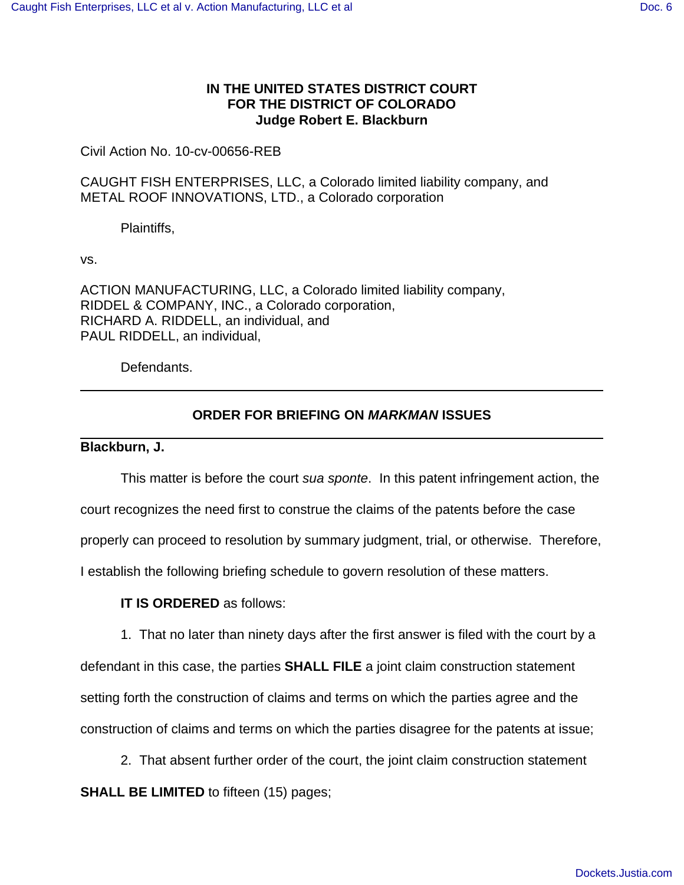## **IN THE UNITED STATES DISTRICT COURT FOR THE DISTRICT OF COLORADO Judge Robert E. Blackburn**

Civil Action No. 10-cv-00656-REB

CAUGHT FISH ENTERPRISES, LLC, a Colorado limited liability company, and METAL ROOF INNOVATIONS, LTD., a Colorado corporation

Plaintiffs,

vs.

ACTION MANUFACTURING, LLC, a Colorado limited liability company, RIDDEL & COMPANY, INC., a Colorado corporation, RICHARD A. RIDDELL, an individual, and PAUL RIDDELL, an individual,

Defendants.

## **ORDER FOR BRIEFING ON MARKMAN ISSUES**

**Blackburn, J.**

This matter is before the court sua sponte. In this patent infringement action, the court recognizes the need first to construe the claims of the patents before the case properly can proceed to resolution by summary judgment, trial, or otherwise. Therefore, I establish the following briefing schedule to govern resolution of these matters.

**IT IS ORDERED** as follows:

1. That no later than ninety days after the first answer is filed with the court by a

defendant in this case, the parties **SHALL FILE** a joint claim construction statement setting forth the construction of claims and terms on which the parties agree and the construction of claims and terms on which the parties disagree for the patents at issue;

2. That absent further order of the court, the joint claim construction statement **SHALL BE LIMITED** to fifteen (15) pages;